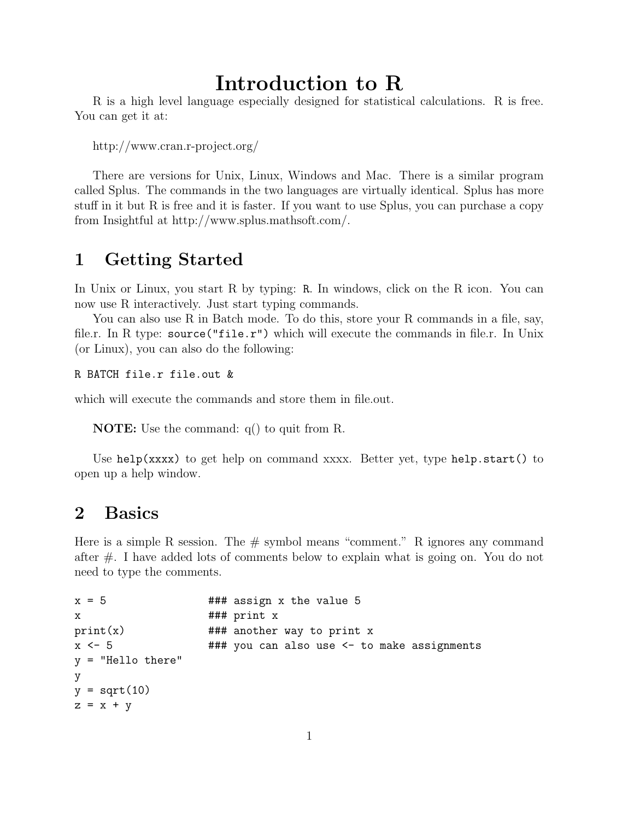# Introduction to R

R is a high level language especially designed for statistical calculations. R is free. You can get it at:

http://www.cran.r-project.org/

There are versions for Unix, Linux, Windows and Mac. There is a similar program called Splus. The commands in the two languages are virtually identical. Splus has more stuff in it but R is free and it is faster. If you want to use Splus, you can purchase a copy from Insightful at http://www.splus.mathsoft.com/.

## 1 Getting Started

In Unix or Linux, you start R by typing: R. In windows, click on the R icon. You can now use R interactively. Just start typing commands.

You can also use R in Batch mode. To do this, store your R commands in a file, say, file.r. In R type:  $source("file.r")$  which will execute the commands in file.r. In Unix (or Linux), you can also do the following:

R BATCH file.r file.out &

which will execute the commands and store them in file.out.

NOTE: Use the command: q() to quit from R.

Use help(xxxx) to get help on command xxxx. Better yet, type help.start() to open up a help window.

#### 2 Basics

Here is a simple R session. The  $\#$  symbol means "comment." R ignores any command after #. I have added lots of comments below to explain what is going on. You do not need to type the comments.

```
x = 5 ### assign x the value 5
x ### print x
print(x) ### another way to print x
x <- 5 ### you can also use <- to make assignments
y = "Hello there"
y
y = sqrt(10)z = x + y
```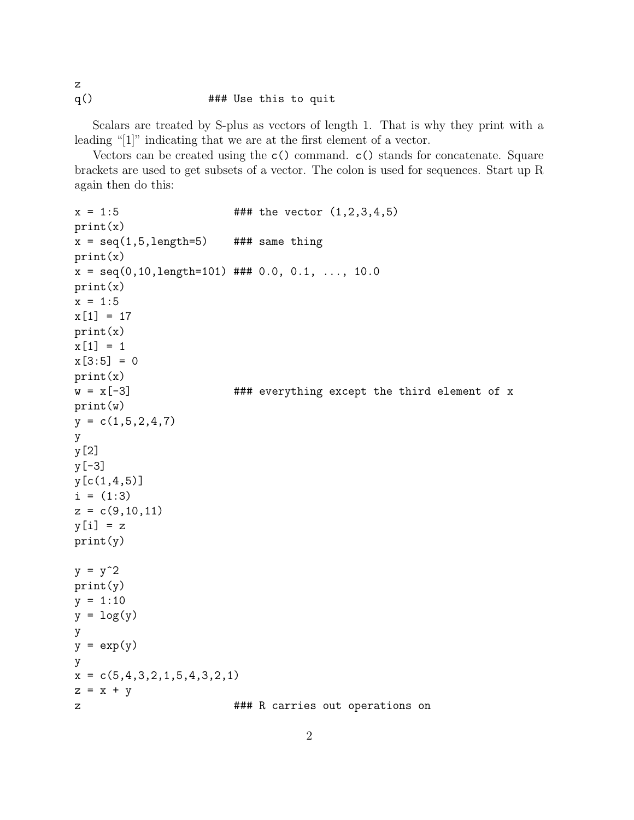q()  $\#$ ## Use this to quit

z

Scalars are treated by S-plus as vectors of length 1. That is why they print with a leading "[1]" indicating that we are at the first element of a vector.

Vectors can be created using the c() command. c() stands for concatenate. Square brackets are used to get subsets of a vector. The colon is used for sequences. Start up R again then do this:

```
x = 1:5 ### the vector (1,2,3,4,5)print(x)
x = \text{seq}(1, 5, \text{length}=5) ### same thing
print(x)
x = seq(0, 10, length=101) ### 0.0, 0.1, ..., 10.0
print(x)
x = 1:5x[1] = 17print(x)
x[1] = 1x[3:5] = 0print(x)
w = x[-3] ### everything except the third element of x
print(w)
y = c(1, 5, 2, 4, 7)y
y[2]
y[-3]
y[c(1,4,5)]
i = (1:3)z = c(9, 10, 11)y[i] = zprint(y)
y = y^2print(y)
y = 1:10y = \log(y)y
y = exp(y)y
x = c(5, 4, 3, 2, 1, 5, 4, 3, 2, 1)z = x + yz 2 ### R carries out operations on
```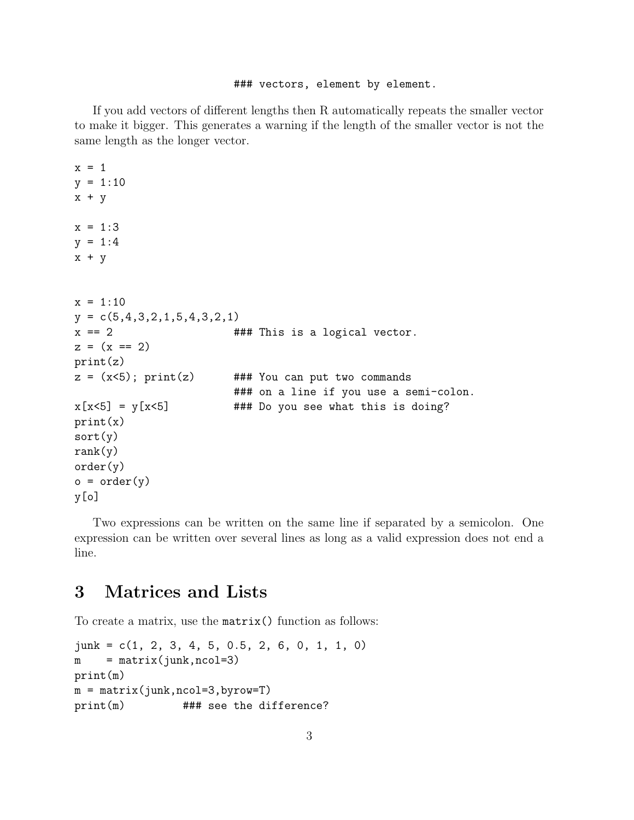#### ### vectors, element by element.

If you add vectors of different lengths then R automatically repeats the smaller vector to make it bigger. This generates a warning if the length of the smaller vector is not the same length as the longer vector.

```
x = 1y = 1:10x + yx = 1:3y = 1:4x + yx = 1:10y = c(5, 4, 3, 2, 1, 5, 4, 3, 2, 1)x = 2 ### This is a logical vector.
z = (x == 2)print(z)
z = (x<5); print(z) ### You can put two commands
                       ### on a line if you use a semi-colon.
x[x<5] = y[x<5] ### Do you see what this is doing?
print(x)
sort(y)
rank(y)order(y)
o = order(y)y[o]
```
Two expressions can be written on the same line if separated by a semicolon. One expression can be written over several lines as long as a valid expression does not end a line.

## 3 Matrices and Lists

To create a matrix, use the matrix() function as follows:

```
junk = c(1, 2, 3, 4, 5, 0.5, 2, 6, 0, 1, 1, 0)
m = matrix(junk,ncol=3)print(m)
m = matrix(junk, ncol=3, byrow=T)print(m) ### see the difference?
```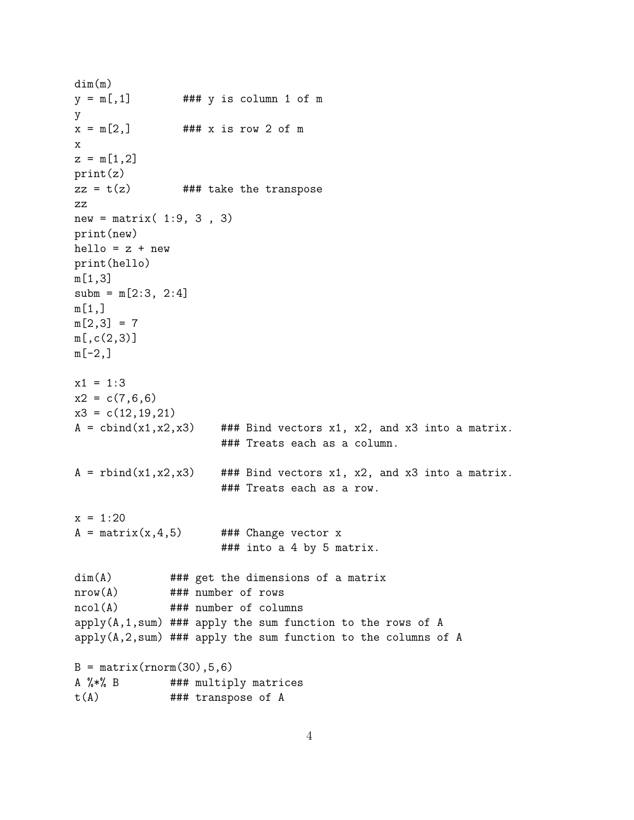```
dim(m)
y = m[, 1] ### y is column 1 of m
y
x = m[2,] ### x is row 2 of m
x
z = m[1,2]print(z)
zz = t(z) ### take the transpose
zz
new = matrix(1:9, 3, 3)print(new)
hello = z + newprint(hello)
m[1,3]
subm = m[2:3, 2:4]m[1,]m[2,3] = 7m[,c(2,3)]
m[-2,]x1 = 1:3x2 = c(7,6,6)x3 = c(12, 19, 21)A = \text{cbind}(x1, x2, x3) ### Bind vectors x1, x2, and x3 into a matrix.
                     ### Treats each as a column.
A =rbind(x1,x2,x3) ### Bind vectors x1, x2, and x3 into a matrix.
                     ### Treats each as a row.
x = 1:20A = matrix(x, 4, 5) ### Change vector x
                     ### into a 4 by 5 matrix.
dim(A) ### get the dimensions of a matrix
nrow(A) ### number of rows
ncol(A) ### number of columns
apply(A,1,sum) ### apply the sum function to the rows of A
apply(A,2,sum) ### apply the sum function to the columns of A
B = matrix(rnorm(30), 5, 6)A %*% B ### multiply matrices
t(A) ### transpose of A
```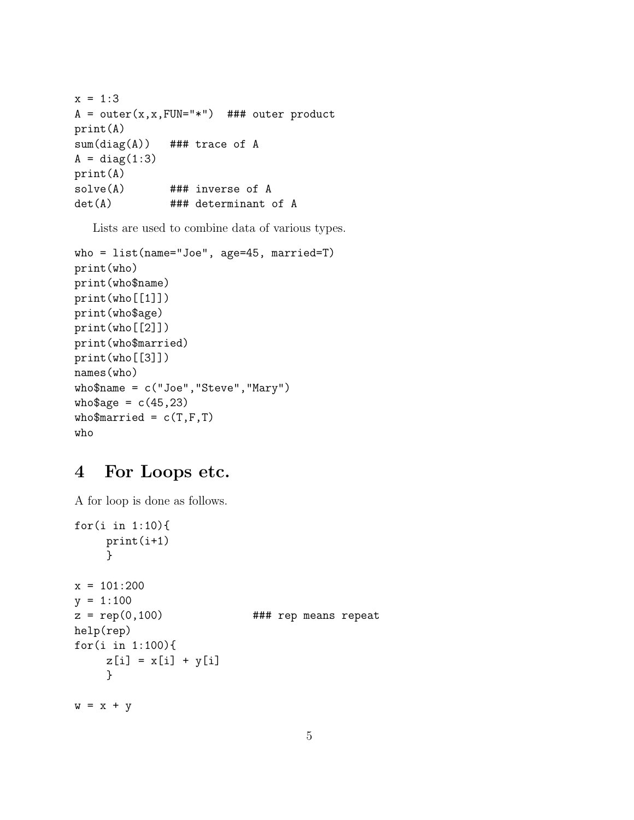```
x = 1:3A = outer(x, x, FUN = "**") ### outer product
print(A)
sum(diag(A)) ### trace of A
A = diag(1:3)print(A)
solve(A) ### inverse of A
det(A) ### determinant of A
```
Lists are used to combine data of various types.

```
who = list(name="Joe", age=45, married=T)
print(who)
print(who$name)
print(who[[1]])
print(who$age)
print(who[[2]])
print(who$married)
print(who[[3]])
names(who)
who$name = c("Joe","Steve","Mary")
who$age = c(45, 23)who$married = c(T,F,T)who
```
#### 4 For Loops etc.

A for loop is done as follows.

```
for(i in 1:10){
    print(i+1)
    }
x = 101:200y = 1:100z = rep(0,100) ### rep means repeat
help(rep)
for(i in 1:100){
    z[i] = x[i] + y[i]}
w = x + y
```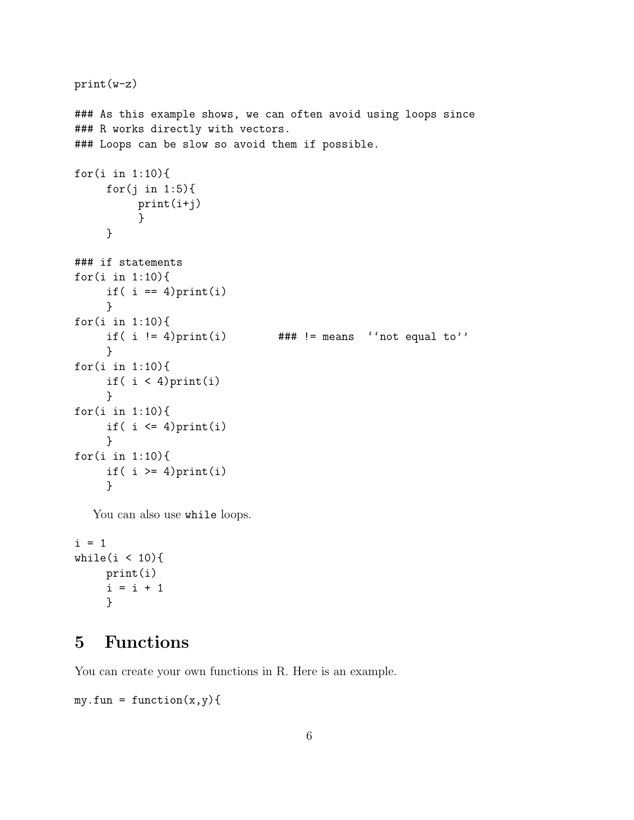```
print(w-z)
### As this example shows, we can often avoid using loops since
### R works directly with vectors.
### Loops can be slow so avoid them if possible.
for(i in 1:10){
     for(j in 1:5){
          print(i+j)
          }
     }
### if statements
for(i in 1:10){
     if( i == 4) print(i)}
for(i in 1:10){
     if( i != 4)print(i) ### != means ''not equal to''
     }
for(i in 1:10){
     if( i < 4) print(i)
     }
for(i in 1:10){
     if( i \leq 4) print(i)
     }
for(i in 1:10){
     if( i >= 4) print(i)
     }
```
You can also use while loops.

```
i = 1while(i < 10){
    print(i)
     i = i + 1}
```
## 5 Functions

You can create your own functions in R. Here is an example.

```
my.fun = function(x,y)
```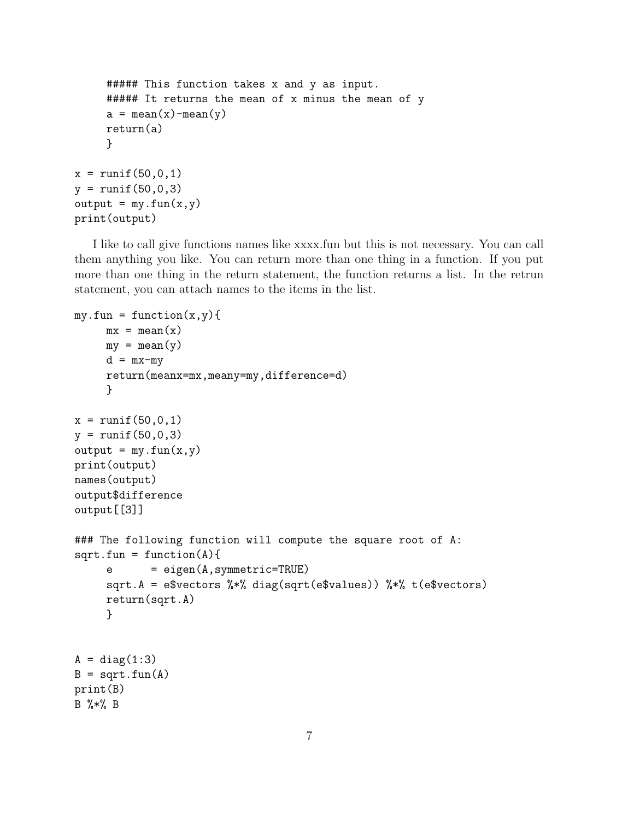```
##### This function takes x and y as input.
     ##### It returns the mean of x minus the mean of y
     a = \text{mean}(x) - \text{mean}(y)return(a)
     }
x = runif(50, 0, 1)y = runif(50, 0, 3)output = my.find(x, y)print(output)
```
I like to call give functions names like xxxx.fun but this is not necessary. You can call them anything you like. You can return more than one thing in a function. If you put more than one thing in the return statement, the function returns a list. In the retrun statement, you can attach names to the items in the list.

```
my.fun = function(x,y)mx = mean(x)my = mean(y)d = mx-myreturn(meanx=mx,meany=my,difference=d)
     }
x = runif(50, 0, 1)y = runif(50, 0, 3)output = my.find(x,y)print(output)
names(output)
output$difference
output[[3]]
### The following function will compute the square root of A:
sqrt{f} = function(A){
     e = eigen(A, symmetric=TRUE)sqrt.A = e$vectors %*% diag(sqrt(e$values)) %*% t(e$vectors)
     return(sqrt.A)
     }
A = diag(1:3)B = sqrt.fun(A)print(B)
B %*% B
```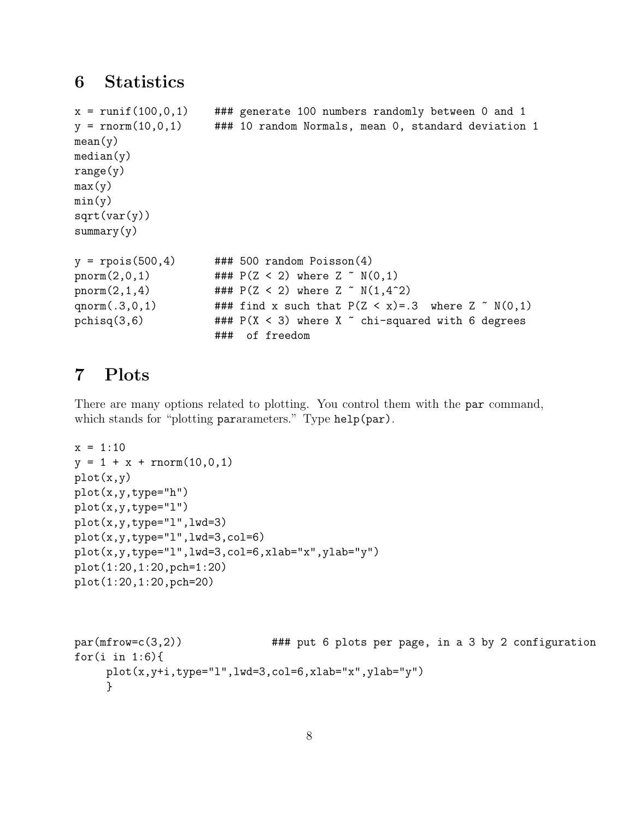## 6 Statistics

```
x = runif(100, 0, 1) ### generate 100 numbers randomly between 0 and 1
y = rnorm(10, 0, 1) ### 10 random Normals, mean 0, standard deviation 1
mean(y)
median(y)range(y)
max(y)min(y)sqrt(xar(y))summary(y)
y = \text{rpois}(500, 4) ### 500 random Poisson(4)pnorm(2,0,1) \# \# \mathbb{P}(Z \leq 2) where Z \sim N(0,1)pnorm(2,1,4) \# ### P(Z < 2) where Z \tilde{N}(1,4\tilde{2})qnorm(.3,0,1) ### find x such that P(Z < x) = .3 where Z \sim N(0,1)pchisq(3,6) \### P(X < 3) where X \degree chi-squared with 6 degrees
                      ### of freedom
```
## 7 Plots

There are many options related to plotting. You control them with the par command, which stands for "plotting pararameters." Type help(par).

```
x = 1:10y = 1 + x + \text{rnorm}(10, 0, 1)plot(x,y)
plot(x,y,type="h")
plot(x,y,type="l")
plot(x,y,type="l",lwd=3)
plot(x,y,type="l",lwd=3,col=6)
plot(x,y,type="l",lwd=3,col=6,xlab="x",ylab="y")
plot(1:20,1:20,pch=1:20)
plot(1:20,1:20,pch=20)
```

```
par(mfrow=c(3,2)) \qquad ### put 6 plots per page, in a 3 by 2 configuration
for(i in 1:6){
    plot(x,y+i,type="l",lwd=3,col=6,xlab="x",ylab="y")
    }
```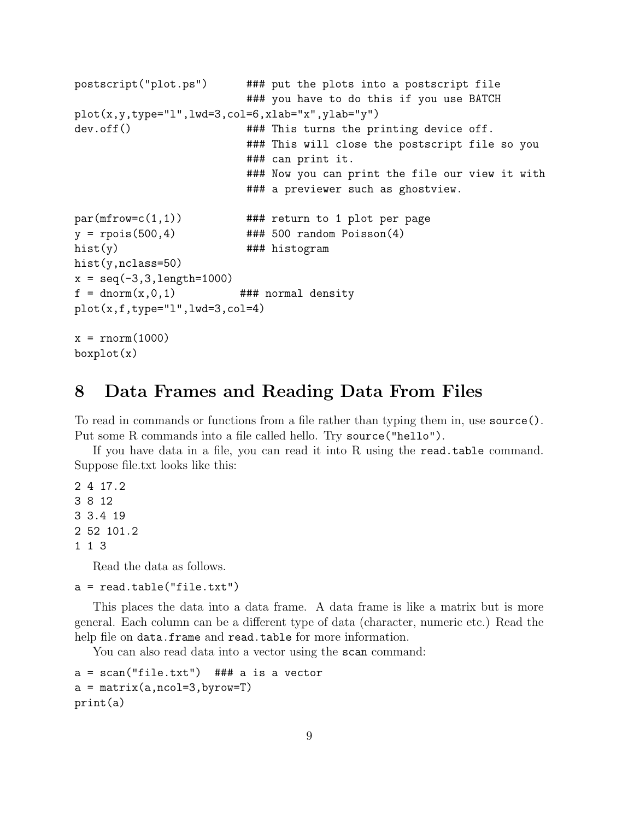```
postscript("plot.ps") ### put the plots into a postscript file
                         ### you have to do this if you use BATCH
plot(x,y,type="l",lwd=3,col=6,xlab="x",ylab="y")
dev.off() ### This turns the printing device off.
                         ### This will close the postscript file so you
                         ### can print it.
                         ### Now you can print the file our view it with
                         ### a previewer such as ghostview.
par(mfrow=c(1,1)) ### return to 1 plot per page
y = \text{rpois}(500, 4) ### 500 random Poisson(4)hist(y) ### histogram
hist(y,nclass=50)
x = seq(-3, 3, length=1000)f = dom(m(x, 0, 1)) ### normal density
plot(x, f, type="1", lwd=3, col=4)x = rnorm(1000)boxplot(x)
```
#### 8 Data Frames and Reading Data From Files

To read in commands or functions from a file rather than typing them in, use source(). Put some R commands into a file called hello. Try source("hello").

If you have data in a file, you can read it into R using the read.table command. Suppose file.txt looks like this:

Read the data as follows.

a = read.table("file.txt")

This places the data into a data frame. A data frame is like a matrix but is more general. Each column can be a different type of data (character, numeric etc.) Read the help file on data.frame and read.table for more information.

You can also read data into a vector using the scan command:

```
a = scan("file.txt") ### a is a vector
a = matrix(a, ncol=3, byrow=T)print(a)
```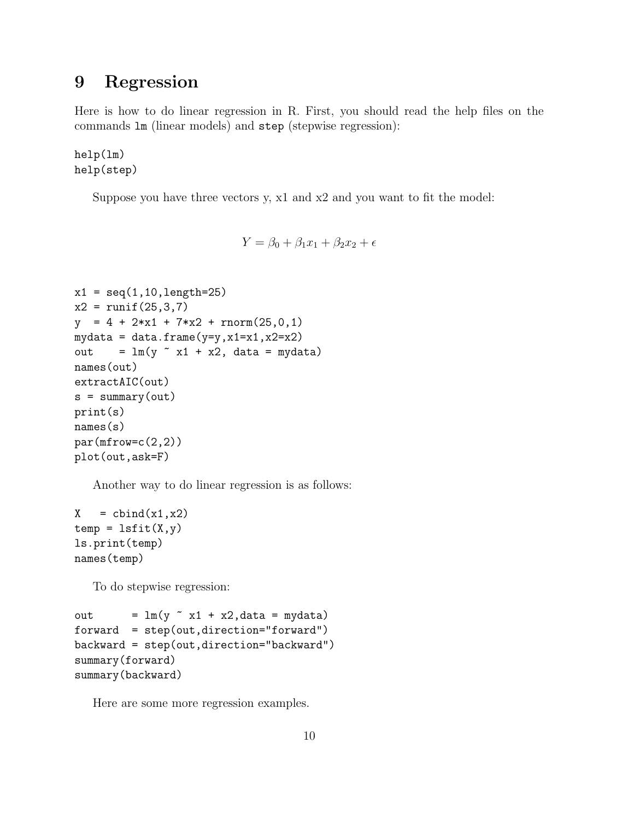## 9 Regression

Here is how to do linear regression in R. First, you should read the help files on the commands lm (linear models) and step (stepwise regression):

help(lm) help(step)

Suppose you have three vectors y, x1 and x2 and you want to fit the model:

$$
Y = \beta_0 + \beta_1 x_1 + \beta_2 x_2 + \epsilon
$$

```
x1 = seq(1, 10, length=25)x2 = runif(25,3,7)y = 4 + 2*x1 + 7*x2 + rnorm(25,0,1)mydata = data.frame(y=y, x1=x1, x2=x2)out = lm(y \text{ x1 + x2, data = mydata})names(out)
extractAIC(out)
s = summary(out)print(s)
names(s)
par(mfrow=c(2,2))plot(out,ask=F)
```
Another way to do linear regression is as follows:

 $X = \text{cbind}(x1, x2)$  $temp = lsfit(X,y)$ ls.print(temp) names(temp)

To do stepwise regression:

```
out = lm(y \sim x1 + x2, data = mydata)forward = step(out,direction="forward")
backward = step(out,direction="backward")
summary(forward)
summary(backward)
```
Here are some more regression examples.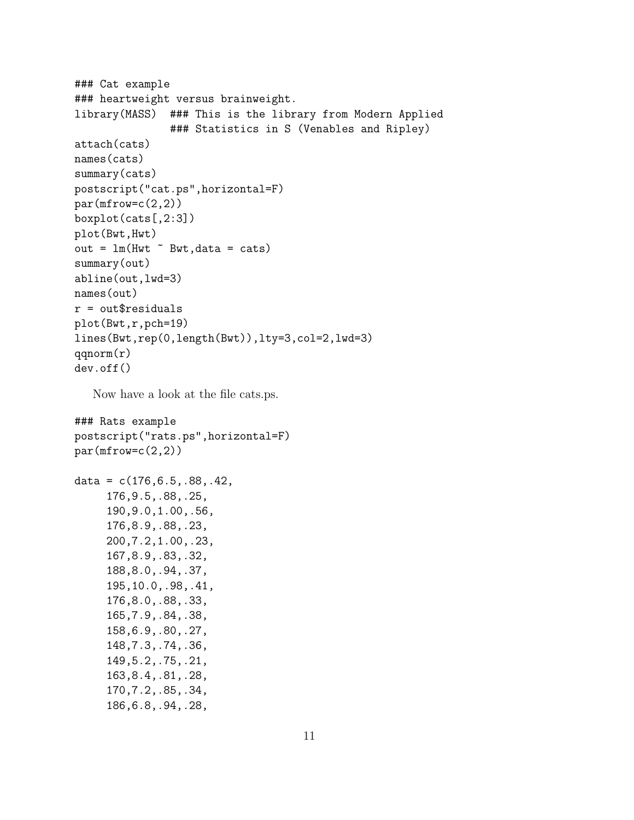```
### Cat example
### heartweight versus brainweight.
library(MASS) ### This is the library from Modern Applied
               ### Statistics in S (Venables and Ripley)
attach(cats)
names(cats)
summary(cats)
postscript("cat.ps",horizontal=F)
par(mfrow=c(2,2))boxplot(cats[,2:3])
plot(Bwt,Hwt)
out = lm(Hwt \tilde{ } Bwt, data = cats)
summary(out)
abline(out,lwd=3)
names(out)
r = out$residualsplot(Bwt,r,pch=19)
lines(Bwt,rep(0,length(Bwt)),lty=3,col=2,lwd=3)
qqnorm(r)
dev.off()
```
Now have a look at the file cats.ps.

```
### Rats example
postscript("rats.ps",horizontal=F)
par(mfrow=c(2,2))data = c(176, 6.5, .88, .42, )176,9.5,.88,.25,
     190,9.0,1.00,.56,
     176,8.9,.88,.23,
     200,7.2,1.00,.23,
     167,8.9,.83,.32,
     188,8.0,.94,.37,
     195,10.0,.98,.41,
     176,8.0,.88,.33,
     165,7.9,.84,.38,
     158,6.9,.80,.27,
     148,7.3,.74,.36,
     149,5.2,.75,.21,
     163,8.4,.81,.28,
     170,7.2,.85,.34,
     186,6.8,.94,.28,
```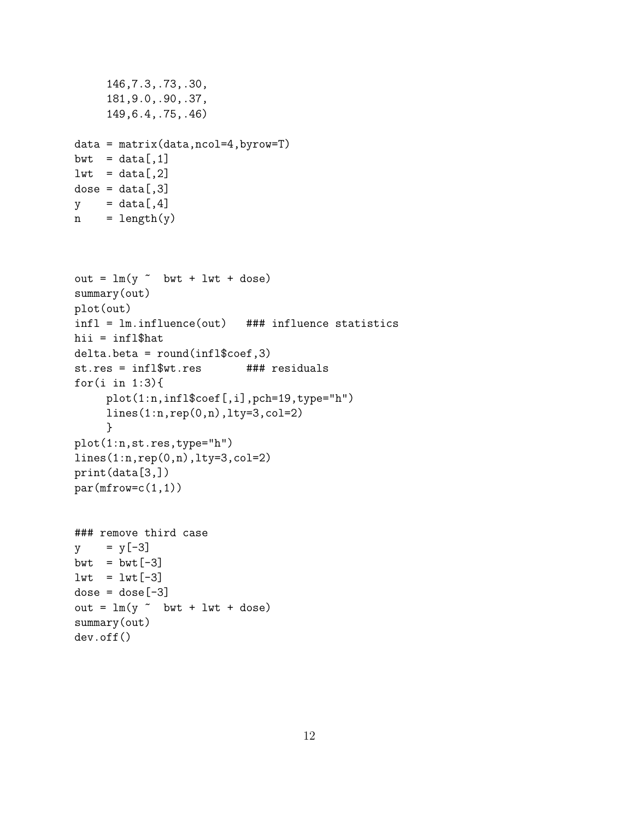```
146,7.3,.73,.30,
     181,9.0,.90,.37,
     149,6.4,.75,.46)
data = matrix(data,ncol=4,byrow=T)
bwt = data[, 1]1wt = data[, 2]dose = data[, 3]y = data[, 4]n = length(y)out = lm(y \sim bwt + lwt + dose)summary(out)
plot(out)
infl = lm.influence(out) ### influence statistics
hii = infl$hat
delta.beta = round(infl$coef,3)
st.res = infl$wt.res ### residuals
for(i in 1:3){
    plot(1:n,infl$coef[,i],pch=19,type="h")
    lines(1:n,rep(0,n),lty=3,col=2)
     }
plot(1:n,st.res,type="h")
lines(1:n,rep(0,n),lty=3,col=2)
print(data[3,])
par(mfrow=c(1,1))### remove third case
y = y[-3]bwt = bwt[-3]1wt = 1wt[-3]dose = dose[-3]out = lm(y \sim bwt + lwt + dose)summary(out)
dev.off()
```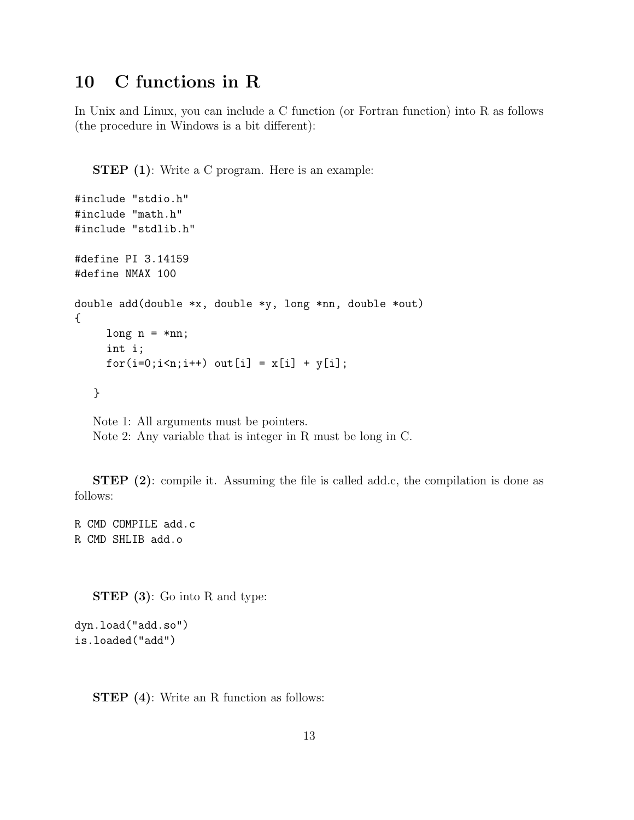## 10 C functions in R

In Unix and Linux, you can include a C function (or Fortran function) into R as follows (the procedure in Windows is a bit different):

**STEP** (1): Write a C program. Here is an example:

```
#include "stdio.h"
#include "math.h"
#include "stdlib.h"
#define PI 3.14159
#define NMAX 100
double add(double *x, double *y, long *nn, double *out)
{
     long n = *nn;int i;
     for(i=0; i \le n; i++) out[i] = x[i] + y[i];}
   Note 1: All arguments must be pointers.
```
Note 2: Any variable that is integer in R must be long in C.

STEP (2): compile it. Assuming the file is called add.c, the compilation is done as follows:

R CMD COMPILE add.c R CMD SHLIB add.o

STEP (3): Go into R and type:

```
dyn.load("add.so")
is.loaded("add")
```
STEP (4): Write an R function as follows: